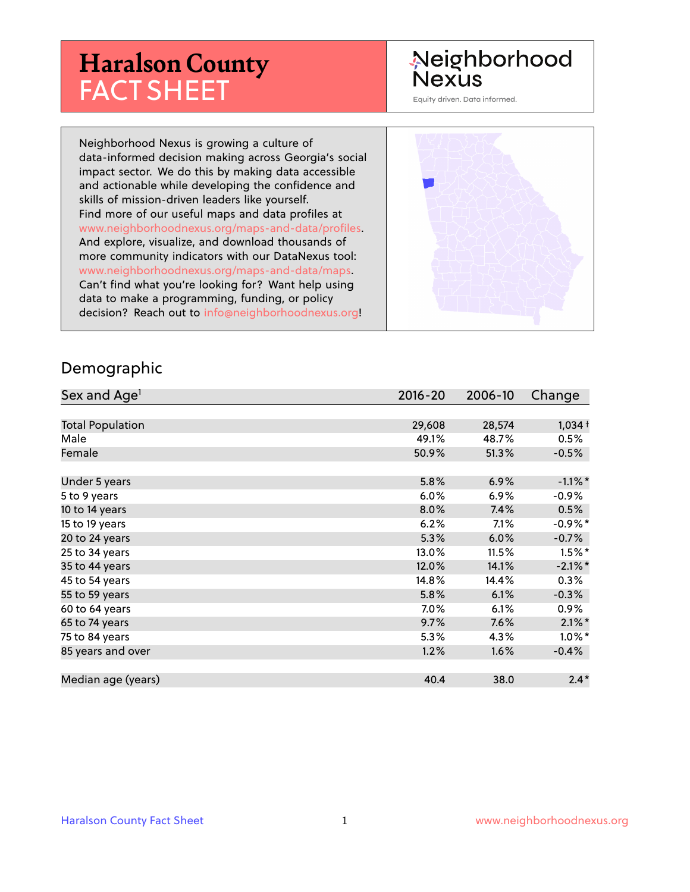# **Haralson County** FACT SHEET

## Neighborhood **Nexus**

Equity driven. Data informed.

Neighborhood Nexus is growing a culture of data-informed decision making across Georgia's social impact sector. We do this by making data accessible and actionable while developing the confidence and skills of mission-driven leaders like yourself. Find more of our useful maps and data profiles at www.neighborhoodnexus.org/maps-and-data/profiles. And explore, visualize, and download thousands of more community indicators with our DataNexus tool: www.neighborhoodnexus.org/maps-and-data/maps. Can't find what you're looking for? Want help using data to make a programming, funding, or policy decision? Reach out to [info@neighborhoodnexus.org!](mailto:info@neighborhoodnexus.org)



#### Demographic

| Sex and Age <sup>1</sup> | $2016 - 20$ | 2006-10 | Change     |
|--------------------------|-------------|---------|------------|
|                          |             |         |            |
| <b>Total Population</b>  | 29,608      | 28,574  | $1,034+$   |
| Male                     | 49.1%       | 48.7%   | 0.5%       |
| Female                   | 50.9%       | 51.3%   | $-0.5%$    |
|                          |             |         |            |
| Under 5 years            | 5.8%        | 6.9%    | $-1.1\%$ * |
| 5 to 9 years             | 6.0%        | $6.9\%$ | $-0.9\%$   |
| 10 to 14 years           | 8.0%        | 7.4%    | 0.5%       |
| 15 to 19 years           | 6.2%        | 7.1%    | $-0.9%$ *  |
| 20 to 24 years           | 5.3%        | 6.0%    | $-0.7%$    |
| 25 to 34 years           | 13.0%       | 11.5%   | $1.5\%$ *  |
| 35 to 44 years           | 12.0%       | 14.1%   | $-2.1\%$ * |
| 45 to 54 years           | 14.8%       | 14.4%   | 0.3%       |
| 55 to 59 years           | 5.8%        | 6.1%    | $-0.3%$    |
| 60 to 64 years           | 7.0%        | 6.1%    | $0.9\%$    |
| 65 to 74 years           | 9.7%        | 7.6%    | $2.1\%$ *  |
| 75 to 84 years           | 5.3%        | 4.3%    | $1.0\%$ *  |
| 85 years and over        | 1.2%        | 1.6%    | $-0.4%$    |
|                          |             |         |            |
| Median age (years)       | 40.4        | 38.0    | $2.4*$     |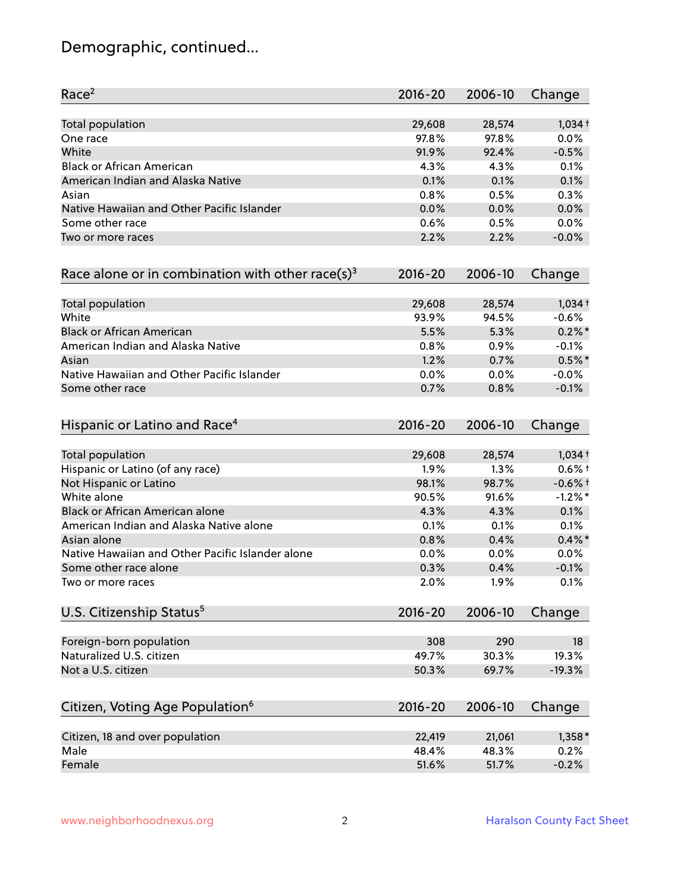## Demographic, continued...

| Race <sup>2</sup>                                            | $2016 - 20$ | 2006-10 | Change    |
|--------------------------------------------------------------|-------------|---------|-----------|
| <b>Total population</b>                                      | 29,608      | 28,574  | $1,034+$  |
| One race                                                     | 97.8%       | 97.8%   | 0.0%      |
| White                                                        | 91.9%       | 92.4%   | $-0.5%$   |
| <b>Black or African American</b>                             | 4.3%        | 4.3%    | 0.1%      |
| American Indian and Alaska Native                            | 0.1%        | 0.1%    | 0.1%      |
| Asian                                                        | 0.8%        | 0.5%    | 0.3%      |
| Native Hawaiian and Other Pacific Islander                   | 0.0%        | 0.0%    | 0.0%      |
| Some other race                                              | 0.6%        | 0.5%    | 0.0%      |
| Two or more races                                            | 2.2%        | 2.2%    | $-0.0%$   |
| Race alone or in combination with other race(s) <sup>3</sup> | $2016 - 20$ | 2006-10 | Change    |
| Total population                                             | 29,608      | 28,574  | $1,034+$  |
| White                                                        | 93.9%       | 94.5%   | $-0.6%$   |
| <b>Black or African American</b>                             | 5.5%        | 5.3%    | $0.2\%$ * |
| American Indian and Alaska Native                            | 0.8%        | 0.9%    | $-0.1%$   |
| Asian                                                        | 1.2%        | 0.7%    | $0.5%$ *  |
| Native Hawaiian and Other Pacific Islander                   | 0.0%        | 0.0%    | $-0.0%$   |
| Some other race                                              | 0.7%        | 0.8%    | $-0.1%$   |
| Hispanic or Latino and Race <sup>4</sup>                     | $2016 - 20$ | 2006-10 | Change    |
| <b>Total population</b>                                      | 29,608      | 28,574  | $1,034+$  |
| Hispanic or Latino (of any race)                             | 1.9%        | 1.3%    | $0.6%$ +  |
| Not Hispanic or Latino                                       | 98.1%       | 98.7%   | $-0.6%$ † |
| White alone                                                  | 90.5%       | 91.6%   | $-1.2%$ * |
| Black or African American alone                              | 4.3%        | 4.3%    | 0.1%      |
| American Indian and Alaska Native alone                      | 0.1%        | 0.1%    | 0.1%      |
| Asian alone                                                  | 0.8%        | 0.4%    | $0.4\%$ * |
| Native Hawaiian and Other Pacific Islander alone             | 0.0%        | 0.0%    | 0.0%      |
| Some other race alone                                        | 0.3%        | 0.4%    | $-0.1%$   |
| Two or more races                                            | 2.0%        | 1.9%    | 0.1%      |
| U.S. Citizenship Status <sup>5</sup>                         | $2016 - 20$ | 2006-10 | Change    |
| Foreign-born population                                      | 308         | 290     | 18        |
| Naturalized U.S. citizen                                     | 49.7%       | 30.3%   | 19.3%     |
| Not a U.S. citizen                                           | 50.3%       | 69.7%   | $-19.3%$  |
|                                                              |             |         |           |
| Citizen, Voting Age Population <sup>6</sup>                  | $2016 - 20$ | 2006-10 | Change    |
| Citizen, 18 and over population                              | 22,419      | 21,061  | $1,358*$  |
| Male                                                         | 48.4%       | 48.3%   | 0.2%      |
| Female                                                       | 51.6%       | 51.7%   | $-0.2%$   |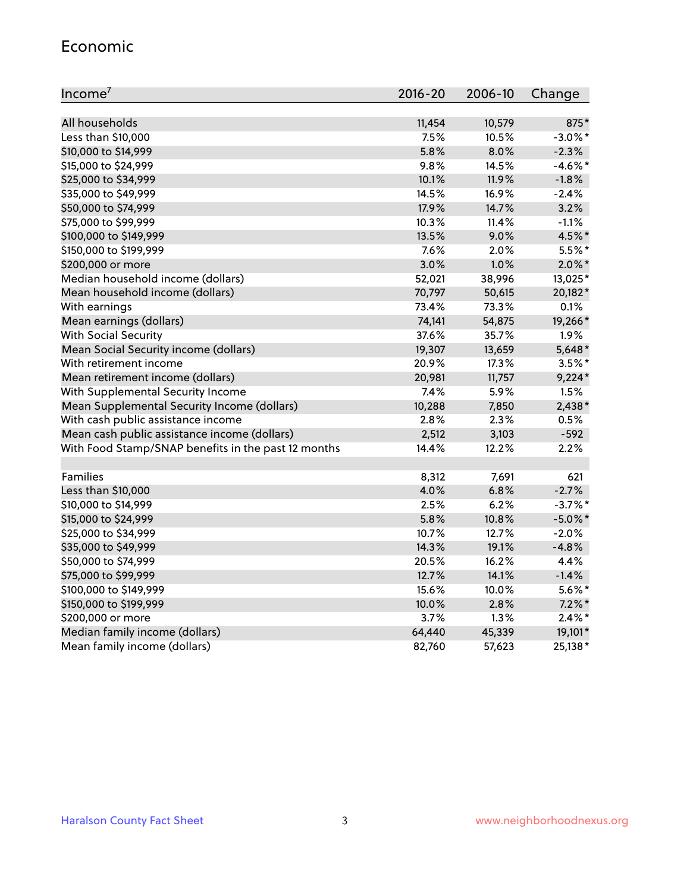#### Economic

| Income <sup>7</sup>                                 | $2016 - 20$ | 2006-10 | Change     |
|-----------------------------------------------------|-------------|---------|------------|
|                                                     |             |         |            |
| All households                                      | 11,454      | 10,579  | 875*       |
| Less than \$10,000                                  | 7.5%        | 10.5%   | $-3.0\%$ * |
| \$10,000 to \$14,999                                | 5.8%        | 8.0%    | $-2.3%$    |
| \$15,000 to \$24,999                                | 9.8%        | 14.5%   | $-4.6\%$ * |
| \$25,000 to \$34,999                                | 10.1%       | 11.9%   | $-1.8%$    |
| \$35,000 to \$49,999                                | 14.5%       | 16.9%   | $-2.4%$    |
| \$50,000 to \$74,999                                | 17.9%       | 14.7%   | 3.2%       |
| \$75,000 to \$99,999                                | 10.3%       | 11.4%   | $-1.1%$    |
| \$100,000 to \$149,999                              | 13.5%       | 9.0%    | 4.5%*      |
| \$150,000 to \$199,999                              | 7.6%        | 2.0%    | 5.5%*      |
| \$200,000 or more                                   | 3.0%        | 1.0%    | $2.0\%$ *  |
| Median household income (dollars)                   | 52,021      | 38,996  | 13,025*    |
| Mean household income (dollars)                     | 70,797      | 50,615  | 20,182*    |
| With earnings                                       | 73.4%       | 73.3%   | 0.1%       |
| Mean earnings (dollars)                             | 74,141      | 54,875  | 19,266*    |
| <b>With Social Security</b>                         | 37.6%       | 35.7%   | 1.9%       |
| Mean Social Security income (dollars)               | 19,307      | 13,659  | $5,648*$   |
| With retirement income                              | 20.9%       | 17.3%   | $3.5%$ *   |
| Mean retirement income (dollars)                    | 20,981      | 11,757  | $9,224*$   |
| With Supplemental Security Income                   | 7.4%        | 5.9%    | 1.5%       |
| Mean Supplemental Security Income (dollars)         | 10,288      | 7,850   | 2,438*     |
| With cash public assistance income                  | 2.8%        | 2.3%    | 0.5%       |
| Mean cash public assistance income (dollars)        | 2,512       | 3,103   | $-592$     |
| With Food Stamp/SNAP benefits in the past 12 months | 14.4%       | 12.2%   | 2.2%       |
|                                                     |             |         |            |
| Families                                            | 8,312       | 7,691   | 621        |
| Less than \$10,000                                  | 4.0%        | 6.8%    | $-2.7%$    |
| \$10,000 to \$14,999                                | 2.5%        | 6.2%    | $-3.7%$ *  |
| \$15,000 to \$24,999                                | 5.8%        | 10.8%   | $-5.0\%$ * |
| \$25,000 to \$34,999                                | 10.7%       | 12.7%   | $-2.0%$    |
| \$35,000 to \$49,999                                | 14.3%       | 19.1%   | $-4.8%$    |
| \$50,000 to \$74,999                                | 20.5%       | 16.2%   | 4.4%       |
| \$75,000 to \$99,999                                | 12.7%       | 14.1%   | $-1.4%$    |
| \$100,000 to \$149,999                              | 15.6%       | 10.0%   | $5.6\%$ *  |
| \$150,000 to \$199,999                              | 10.0%       | 2.8%    | $7.2\%$ *  |
| \$200,000 or more                                   | 3.7%        | 1.3%    | $2.4\%$ *  |
| Median family income (dollars)                      | 64,440      | 45,339  | 19,101*    |
| Mean family income (dollars)                        | 82,760      | 57,623  | 25,138*    |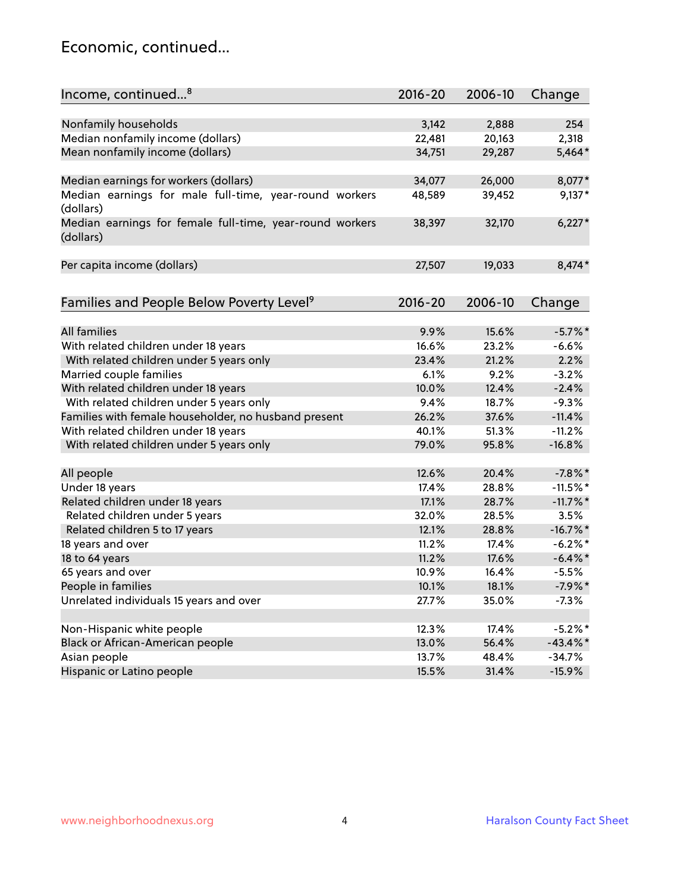## Economic, continued...

| Income, continued <sup>8</sup>                                        | $2016 - 20$ | 2006-10 | Change      |
|-----------------------------------------------------------------------|-------------|---------|-------------|
|                                                                       |             |         |             |
| Nonfamily households                                                  | 3,142       | 2,888   | 254         |
| Median nonfamily income (dollars)                                     | 22,481      | 20,163  | 2,318       |
| Mean nonfamily income (dollars)                                       | 34,751      | 29,287  | 5,464*      |
| Median earnings for workers (dollars)                                 | 34,077      | 26,000  | 8,077*      |
| Median earnings for male full-time, year-round workers                | 48,589      | 39,452  | $9,137*$    |
| (dollars)                                                             |             |         |             |
| Median earnings for female full-time, year-round workers<br>(dollars) | 38,397      | 32,170  | $6,227*$    |
| Per capita income (dollars)                                           | 27,507      | 19,033  | 8,474*      |
|                                                                       |             |         |             |
| Families and People Below Poverty Level <sup>9</sup>                  | $2016 - 20$ | 2006-10 | Change      |
|                                                                       |             |         |             |
| <b>All families</b>                                                   | 9.9%        | 15.6%   | $-5.7\%$ *  |
| With related children under 18 years                                  | 16.6%       | 23.2%   | $-6.6%$     |
| With related children under 5 years only                              | 23.4%       | 21.2%   | 2.2%        |
| Married couple families                                               | 6.1%        | 9.2%    | $-3.2%$     |
| With related children under 18 years                                  | 10.0%       | 12.4%   | $-2.4%$     |
| With related children under 5 years only                              | 9.4%        | 18.7%   | $-9.3%$     |
| Families with female householder, no husband present                  | 26.2%       | 37.6%   | $-11.4%$    |
| With related children under 18 years                                  | 40.1%       | 51.3%   | $-11.2%$    |
| With related children under 5 years only                              | 79.0%       | 95.8%   | $-16.8%$    |
| All people                                                            | 12.6%       | 20.4%   | $-7.8\%$ *  |
| Under 18 years                                                        | 17.4%       | 28.8%   | $-11.5%$ *  |
| Related children under 18 years                                       | 17.1%       | 28.7%   | $-11.7\%$ * |
| Related children under 5 years                                        | 32.0%       | 28.5%   | 3.5%        |
| Related children 5 to 17 years                                        | 12.1%       | 28.8%   | $-16.7\%$ * |
| 18 years and over                                                     | 11.2%       | 17.4%   | $-6.2\%$ *  |
| 18 to 64 years                                                        | 11.2%       | 17.6%   | $-6.4\%$ *  |
| 65 years and over                                                     | 10.9%       | 16.4%   | $-5.5%$     |
| People in families                                                    | 10.1%       | 18.1%   | $-7.9%$ *   |
| Unrelated individuals 15 years and over                               | 27.7%       | 35.0%   | $-7.3%$     |
|                                                                       |             |         |             |
| Non-Hispanic white people                                             | 12.3%       | 17.4%   | $-5.2%$ *   |
|                                                                       |             |         | $-43.4\%$ * |
| Black or African-American people                                      | 13.0%       | 56.4%   |             |
| Asian people                                                          | 13.7%       | 48.4%   | $-34.7%$    |
| Hispanic or Latino people                                             | 15.5%       | 31.4%   | $-15.9%$    |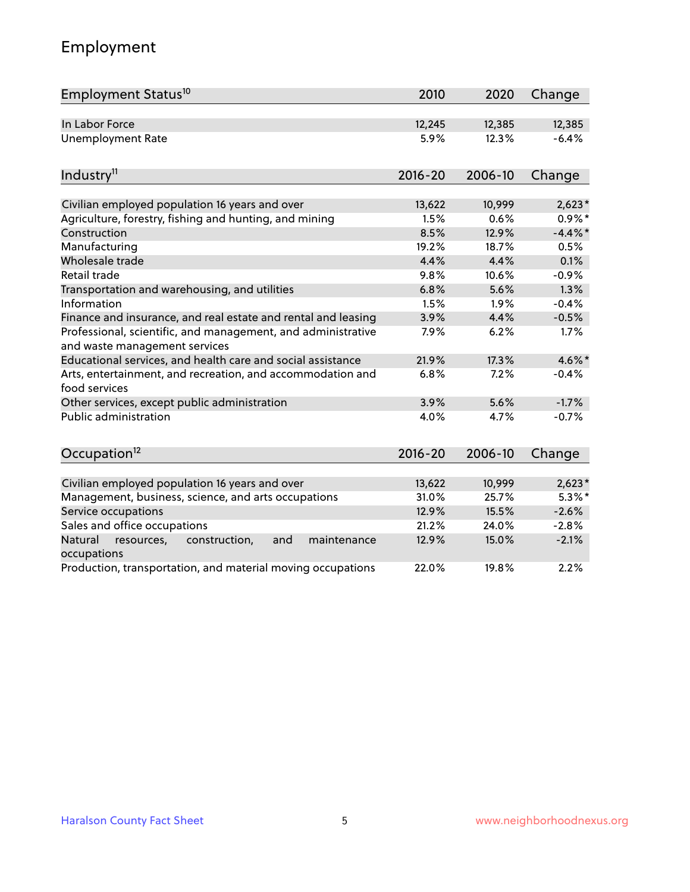## Employment

| Employment Status <sup>10</sup>                                                               | 2010        | 2020    | Change     |
|-----------------------------------------------------------------------------------------------|-------------|---------|------------|
| In Labor Force                                                                                | 12,245      | 12,385  | 12,385     |
| <b>Unemployment Rate</b>                                                                      | 5.9%        | 12.3%   | $-6.4%$    |
| Industry <sup>11</sup>                                                                        | $2016 - 20$ | 2006-10 | Change     |
|                                                                                               |             |         |            |
| Civilian employed population 16 years and over                                                | 13,622      | 10,999  | $2,623*$   |
| Agriculture, forestry, fishing and hunting, and mining                                        | 1.5%        | 0.6%    | $0.9\%*$   |
| Construction                                                                                  | 8.5%        | 12.9%   | $-4.4\%$ * |
| Manufacturing                                                                                 | 19.2%       | 18.7%   | 0.5%       |
| Wholesale trade                                                                               | 4.4%        | 4.4%    | 0.1%       |
| Retail trade                                                                                  | 9.8%        | 10.6%   | $-0.9%$    |
| Transportation and warehousing, and utilities                                                 | 6.8%        | 5.6%    | 1.3%       |
| Information                                                                                   | 1.5%        | 1.9%    | $-0.4%$    |
| Finance and insurance, and real estate and rental and leasing                                 | 3.9%        | 4.4%    | $-0.5%$    |
| Professional, scientific, and management, and administrative<br>and waste management services | 7.9%        | 6.2%    | 1.7%       |
| Educational services, and health care and social assistance                                   | 21.9%       | 17.3%   | 4.6%*      |
| Arts, entertainment, and recreation, and accommodation and<br>food services                   | 6.8%        | 7.2%    | $-0.4%$    |
| Other services, except public administration                                                  | 3.9%        | 5.6%    | $-1.7%$    |
| Public administration                                                                         | 4.0%        | 4.7%    | $-0.7%$    |
| Occupation <sup>12</sup>                                                                      | $2016 - 20$ | 2006-10 | Change     |
|                                                                                               |             |         |            |
| Civilian employed population 16 years and over                                                | 13,622      | 10,999  | $2,623*$   |
| Management, business, science, and arts occupations                                           | 31.0%       | 25.7%   | $5.3\%$ *  |
| Service occupations                                                                           | 12.9%       | 15.5%   | $-2.6%$    |
| Sales and office occupations                                                                  | 21.2%       | 24.0%   | $-2.8%$    |
| Natural<br>resources,<br>construction,<br>and<br>maintenance<br>occupations                   | 12.9%       | 15.0%   | $-2.1%$    |
| Production, transportation, and material moving occupations                                   | 22.0%       | 19.8%   | 2.2%       |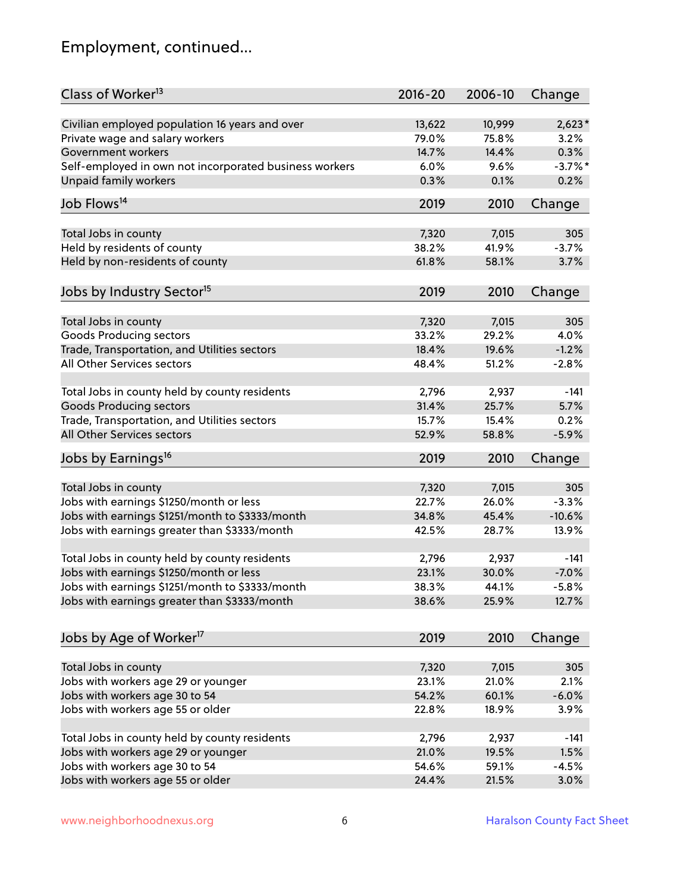## Employment, continued...

| Class of Worker <sup>13</sup>                          | $2016 - 20$ | 2006-10 | Change     |
|--------------------------------------------------------|-------------|---------|------------|
| Civilian employed population 16 years and over         | 13,622      | 10,999  | $2,623*$   |
| Private wage and salary workers                        | 79.0%       | 75.8%   | 3.2%       |
| Government workers                                     | 14.7%       | 14.4%   | 0.3%       |
| Self-employed in own not incorporated business workers | 6.0%        | 9.6%    | $-3.7\%$ * |
| Unpaid family workers                                  | 0.3%        | 0.1%    | 0.2%       |
|                                                        |             |         |            |
| Job Flows <sup>14</sup>                                | 2019        | 2010    | Change     |
| Total Jobs in county                                   | 7,320       | 7,015   | 305        |
| Held by residents of county                            | 38.2%       | 41.9%   | $-3.7%$    |
| Held by non-residents of county                        | 61.8%       | 58.1%   | 3.7%       |
|                                                        |             |         |            |
| Jobs by Industry Sector <sup>15</sup>                  | 2019        | 2010    | Change     |
| Total Jobs in county                                   | 7,320       | 7,015   | 305        |
| Goods Producing sectors                                | 33.2%       | 29.2%   | 4.0%       |
| Trade, Transportation, and Utilities sectors           | 18.4%       | 19.6%   | $-1.2%$    |
| All Other Services sectors                             | 48.4%       | 51.2%   | $-2.8%$    |
|                                                        |             |         |            |
| Total Jobs in county held by county residents          | 2,796       | 2,937   | $-141$     |
| <b>Goods Producing sectors</b>                         | 31.4%       | 25.7%   | 5.7%       |
| Trade, Transportation, and Utilities sectors           | 15.7%       | 15.4%   | 0.2%       |
| All Other Services sectors                             | 52.9%       | 58.8%   | $-5.9%$    |
| Jobs by Earnings <sup>16</sup>                         | 2019        | 2010    | Change     |
|                                                        |             |         |            |
| Total Jobs in county                                   | 7,320       | 7,015   | 305        |
| Jobs with earnings \$1250/month or less                | 22.7%       | 26.0%   | $-3.3%$    |
| Jobs with earnings \$1251/month to \$3333/month        | 34.8%       | 45.4%   | $-10.6%$   |
| Jobs with earnings greater than \$3333/month           | 42.5%       | 28.7%   | 13.9%      |
| Total Jobs in county held by county residents          | 2,796       | 2,937   | $-141$     |
| Jobs with earnings \$1250/month or less                | 23.1%       | 30.0%   | $-7.0%$    |
| Jobs with earnings \$1251/month to \$3333/month        | 38.3%       | 44.1%   | $-5.8%$    |
| Jobs with earnings greater than \$3333/month           | 38.6%       | 25.9%   | 12.7%      |
|                                                        |             |         |            |
| Jobs by Age of Worker <sup>17</sup>                    | 2019        | 2010    | Change     |
|                                                        |             |         |            |
| Total Jobs in county                                   | 7,320       | 7,015   | 305        |
| Jobs with workers age 29 or younger                    | 23.1%       | 21.0%   | 2.1%       |
| Jobs with workers age 30 to 54                         | 54.2%       | 60.1%   | $-6.0%$    |
| Jobs with workers age 55 or older                      | 22.8%       | 18.9%   | 3.9%       |
| Total Jobs in county held by county residents          | 2,796       | 2,937   | $-141$     |
| Jobs with workers age 29 or younger                    | 21.0%       | 19.5%   | 1.5%       |
| Jobs with workers age 30 to 54                         | 54.6%       | 59.1%   | $-4.5%$    |
| Jobs with workers age 55 or older                      | 24.4%       | 21.5%   | 3.0%       |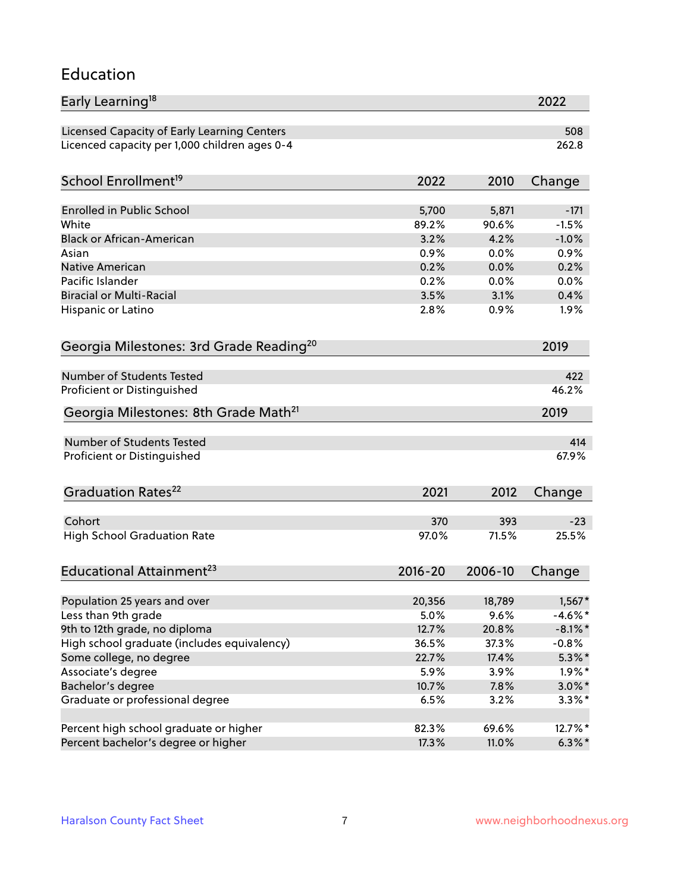#### Education

| Early Learning <sup>18</sup>                        |             |         | 2022       |
|-----------------------------------------------------|-------------|---------|------------|
| Licensed Capacity of Early Learning Centers         |             |         | 508        |
| Licenced capacity per 1,000 children ages 0-4       |             |         | 262.8      |
| School Enrollment <sup>19</sup>                     | 2022        | 2010    | Change     |
|                                                     |             |         |            |
| <b>Enrolled in Public School</b>                    | 5,700       | 5,871   | $-171$     |
| White                                               | 89.2%       | 90.6%   | $-1.5%$    |
| <b>Black or African-American</b>                    | 3.2%        | 4.2%    | $-1.0%$    |
| Asian                                               | 0.9%        | 0.0%    | 0.9%       |
| <b>Native American</b>                              | 0.2%        | 0.0%    | 0.2%       |
| Pacific Islander                                    | 0.2%        | 0.0%    | 0.0%       |
| <b>Biracial or Multi-Racial</b>                     | 3.5%        | 3.1%    | 0.4%       |
| Hispanic or Latino                                  | 2.8%        | 0.9%    | 1.9%       |
| Georgia Milestones: 3rd Grade Reading <sup>20</sup> |             |         | 2019       |
|                                                     |             |         |            |
| Number of Students Tested                           |             |         | 422        |
| Proficient or Distinguished                         |             |         | 46.2%      |
| Georgia Milestones: 8th Grade Math <sup>21</sup>    |             |         | 2019       |
| Number of Students Tested                           |             |         | 414        |
| Proficient or Distinguished                         |             |         | 67.9%      |
| Graduation Rates <sup>22</sup>                      | 2021        | 2012    | Change     |
|                                                     |             |         |            |
| Cohort                                              | 370         | 393     | $-23$      |
| <b>High School Graduation Rate</b>                  | 97.0%       | 71.5%   | 25.5%      |
| Educational Attainment <sup>23</sup>                | $2016 - 20$ | 2006-10 | Change     |
|                                                     |             |         |            |
| Population 25 years and over                        | 20,356      | 18,789  | $1,567*$   |
| Less than 9th grade                                 | 5.0%        | 9.6%    | $-4.6\%$ * |
| 9th to 12th grade, no diploma                       | 12.7%       | 20.8%   | $-8.1\%$ * |
| High school graduate (includes equivalency)         | 36.5%       | 37.3%   | $-0.8%$    |
| Some college, no degree                             | 22.7%       | 17.4%   | $5.3\%$ *  |
| Associate's degree                                  | 5.9%        | 3.9%    | $1.9\%$ *  |
| Bachelor's degree                                   | 10.7%       | 7.8%    | $3.0\%$ *  |
| Graduate or professional degree                     | 6.5%        | 3.2%    | $3.3\%$ *  |
| Percent high school graduate or higher              | 82.3%       | 69.6%   | 12.7%*     |
| Percent bachelor's degree or higher                 | 17.3%       | 11.0%   | $6.3\%*$   |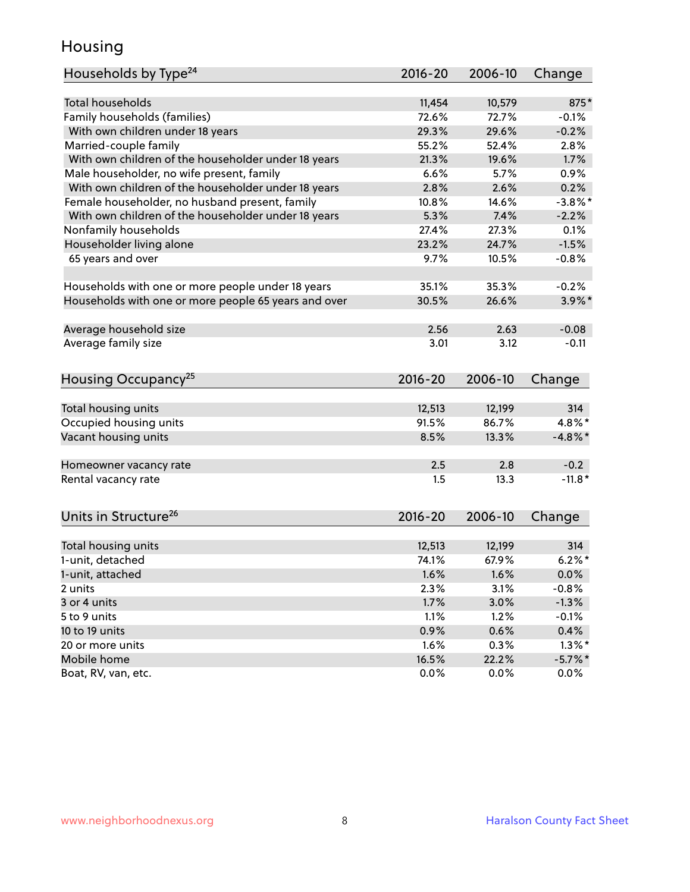## Housing

| Households by Type <sup>24</sup>                     | 2016-20     | 2006-10 | Change     |
|------------------------------------------------------|-------------|---------|------------|
|                                                      |             |         |            |
| <b>Total households</b>                              | 11,454      | 10,579  | 875*       |
| Family households (families)                         | 72.6%       | 72.7%   | $-0.1%$    |
| With own children under 18 years                     | 29.3%       | 29.6%   | $-0.2%$    |
| Married-couple family                                | 55.2%       | 52.4%   | 2.8%       |
| With own children of the householder under 18 years  | 21.3%       | 19.6%   | 1.7%       |
| Male householder, no wife present, family            | 6.6%        | 5.7%    | 0.9%       |
| With own children of the householder under 18 years  | 2.8%        | 2.6%    | 0.2%       |
| Female householder, no husband present, family       | 10.8%       | 14.6%   | $-3.8\%$ * |
| With own children of the householder under 18 years  | 5.3%        | 7.4%    | $-2.2%$    |
| Nonfamily households                                 | 27.4%       | 27.3%   | 0.1%       |
| Householder living alone                             | 23.2%       | 24.7%   | $-1.5%$    |
| 65 years and over                                    | 9.7%        | 10.5%   | $-0.8%$    |
|                                                      |             |         |            |
| Households with one or more people under 18 years    | 35.1%       | 35.3%   | $-0.2%$    |
| Households with one or more people 65 years and over | 30.5%       | 26.6%   | $3.9\%$ *  |
|                                                      |             |         |            |
| Average household size                               | 2.56        | 2.63    | $-0.08$    |
| Average family size                                  | 3.01        | 3.12    | $-0.11$    |
|                                                      |             |         |            |
| Housing Occupancy <sup>25</sup>                      | 2016-20     | 2006-10 | Change     |
|                                                      |             |         |            |
| Total housing units                                  | 12,513      | 12,199  | 314        |
| Occupied housing units                               | 91.5%       | 86.7%   | 4.8%*      |
| Vacant housing units                                 | 8.5%        | 13.3%   | $-4.8\%$ * |
|                                                      |             |         |            |
| Homeowner vacancy rate                               | 2.5         | 2.8     | $-0.2$     |
| Rental vacancy rate                                  | 1.5         | 13.3    | $-11.8*$   |
|                                                      |             |         |            |
|                                                      |             |         |            |
| Units in Structure <sup>26</sup>                     | $2016 - 20$ | 2006-10 | Change     |
|                                                      |             |         |            |
| Total housing units                                  | 12,513      | 12,199  | 314        |
| 1-unit, detached                                     | 74.1%       | 67.9%   | $6.2%$ *   |
| 1-unit, attached                                     | 1.6%        | 1.6%    | 0.0%       |
| 2 units                                              | 2.3%        | 3.1%    | $-0.8%$    |
| 3 or 4 units                                         | 1.7%        | 3.0%    | $-1.3%$    |
| 5 to 9 units                                         | 1.1%        | 1.2%    | $-0.1%$    |
| 10 to 19 units                                       | 0.9%        | 0.6%    | 0.4%       |
| 20 or more units                                     | 1.6%        | 0.3%    | $1.3\%$ *  |
| Mobile home                                          | 16.5%       | 22.2%   | $-5.7\%$ * |
| Boat, RV, van, etc.                                  | 0.0%        | 0.0%    | $0.0\%$    |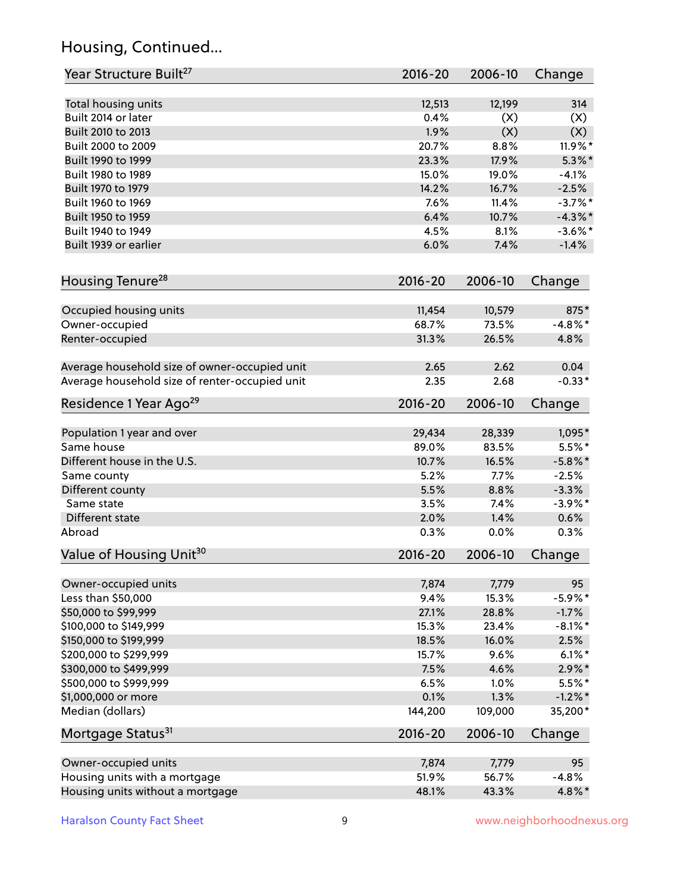## Housing, Continued...

| Year Structure Built <sup>27</sup>             | 2016-20         | 2006-10         | Change             |
|------------------------------------------------|-----------------|-----------------|--------------------|
| Total housing units                            | 12,513          | 12,199          | 314                |
| Built 2014 or later                            | 0.4%            | (X)             | (X)                |
| Built 2010 to 2013                             | 1.9%            | (X)             | (X)                |
| Built 2000 to 2009                             | 20.7%           | 8.8%            | 11.9%*             |
| Built 1990 to 1999                             | 23.3%           | 17.9%           | $5.3\%$ *          |
| Built 1980 to 1989                             | 15.0%           | 19.0%           | $-4.1%$            |
| Built 1970 to 1979                             | 14.2%           | 16.7%           | $-2.5%$            |
| Built 1960 to 1969                             | 7.6%            | 11.4%           | $-3.7%$ *          |
| Built 1950 to 1959                             | 6.4%            | 10.7%           | $-4.3\%$ *         |
| Built 1940 to 1949                             | 4.5%            | 8.1%            | $-3.6\%$ *         |
| Built 1939 or earlier                          | 6.0%            | 7.4%            | $-1.4%$            |
| Housing Tenure <sup>28</sup>                   | 2016-20         | 2006-10         | Change             |
|                                                |                 |                 |                    |
| Occupied housing units                         | 11,454<br>68.7% | 10,579<br>73.5% | 875*<br>$-4.8\%$ * |
| Owner-occupied<br>Renter-occupied              | 31.3%           | 26.5%           | 4.8%               |
|                                                |                 |                 |                    |
| Average household size of owner-occupied unit  | 2.65            | 2.62            | 0.04               |
| Average household size of renter-occupied unit | 2.35            | 2.68            | $-0.33*$           |
| Residence 1 Year Ago <sup>29</sup>             | 2016-20         | 2006-10         | Change             |
| Population 1 year and over                     | 29,434          | 28,339          | 1,095*             |
| Same house                                     | 89.0%           | 83.5%           | $5.5\%$ *          |
| Different house in the U.S.                    | 10.7%           | 16.5%           | $-5.8\%$ *         |
| Same county                                    | 5.2%            | 7.7%            | $-2.5%$            |
| Different county                               | 5.5%            | 8.8%            | $-3.3%$            |
| Same state                                     | 3.5%            | 7.4%            | $-3.9\%$ *         |
| Different state                                | 2.0%            | 1.4%            | 0.6%               |
| Abroad                                         | 0.3%            | 0.0%            | 0.3%               |
|                                                |                 |                 |                    |
| Value of Housing Unit <sup>30</sup>            | 2016-20         | 2006-10         | Change             |
| Owner-occupied units                           | 7,874           | 7,779           | 95                 |
| Less than \$50,000                             | 9.4%            | 15.3%           | $-5.9\%$ *         |
| \$50,000 to \$99,999                           | 27.1%           | 28.8%           | $-1.7%$            |
| \$100,000 to \$149,999                         | 15.3%           | 23.4%           | $-8.1\%$ *         |
| \$150,000 to \$199,999                         | 18.5%           | 16.0%           | 2.5%               |
| \$200,000 to \$299,999                         | 15.7%           | 9.6%            | $6.1\%$ *          |
| \$300,000 to \$499,999                         | 7.5%            | 4.6%            | $2.9\%*$           |
| \$500,000 to \$999,999                         | 6.5%            | 1.0%            | $5.5\%$ *          |
| \$1,000,000 or more                            | 0.1%            | 1.3%            | $-1.2%$ *          |
| Median (dollars)                               | 144,200         | 109,000         | 35,200*            |
| Mortgage Status <sup>31</sup>                  | 2016-20         | 2006-10         | Change             |
|                                                |                 |                 |                    |
| Owner-occupied units                           | 7,874           | 7,779           | 95                 |
| Housing units with a mortgage                  | 51.9%           | 56.7%           | $-4.8%$            |
| Housing units without a mortgage               | 48.1%           | 43.3%           | 4.8%*              |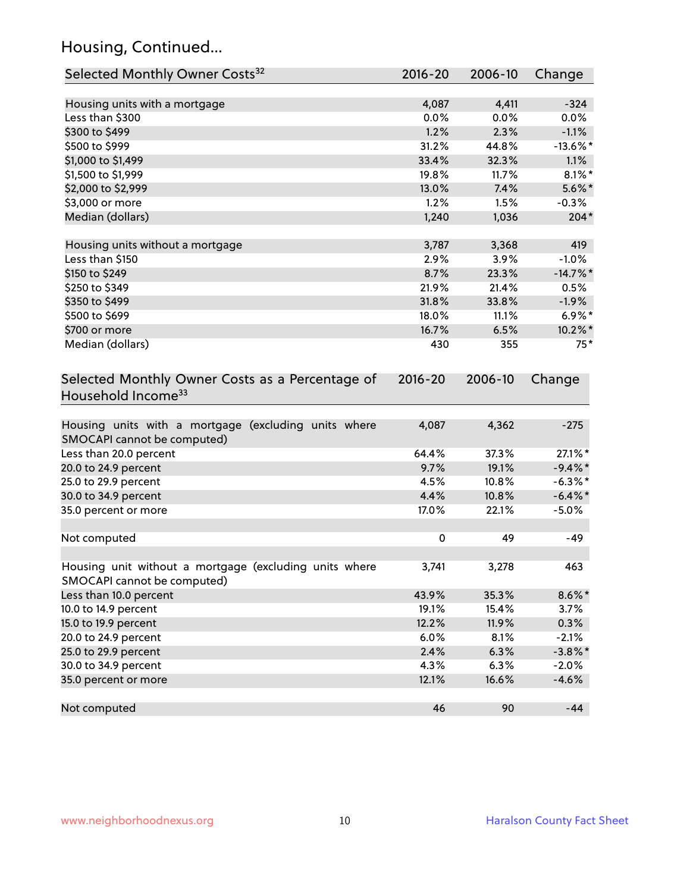## Housing, Continued...

| Selected Monthly Owner Costs <sup>32</sup>                                            | $2016 - 20$ | 2006-10 | Change      |
|---------------------------------------------------------------------------------------|-------------|---------|-------------|
| Housing units with a mortgage                                                         | 4,087       | 4,411   | $-324$      |
| Less than \$300                                                                       | 0.0%        | 0.0%    | 0.0%        |
| \$300 to \$499                                                                        | 1.2%        | 2.3%    | $-1.1%$     |
| \$500 to \$999                                                                        | 31.2%       | 44.8%   | $-13.6\%$ * |
| \$1,000 to \$1,499                                                                    | 33.4%       | 32.3%   | 1.1%        |
| \$1,500 to \$1,999                                                                    | 19.8%       | 11.7%   | $8.1\%$ *   |
| \$2,000 to \$2,999                                                                    | 13.0%       | 7.4%    | $5.6\%$ *   |
| \$3,000 or more                                                                       | 1.2%        | 1.5%    | $-0.3%$     |
| Median (dollars)                                                                      | 1,240       | 1,036   | $204*$      |
|                                                                                       |             |         |             |
| Housing units without a mortgage                                                      | 3,787       | 3,368   | 419         |
| Less than \$150                                                                       | 2.9%        | 3.9%    | $-1.0%$     |
| \$150 to \$249                                                                        | 8.7%        | 23.3%   | $-14.7\%$ * |
| \$250 to \$349                                                                        | 21.9%       | 21.4%   | 0.5%        |
| \$350 to \$499                                                                        | 31.8%       | 33.8%   | $-1.9%$     |
| \$500 to \$699                                                                        | 18.0%       | 11.1%   | $6.9\%*$    |
| \$700 or more                                                                         | 16.7%       | 6.5%    | 10.2%*      |
| Median (dollars)                                                                      | 430         | 355     | $75*$       |
| Selected Monthly Owner Costs as a Percentage of<br>Household Income <sup>33</sup>     | $2016 - 20$ | 2006-10 | Change      |
| Housing units with a mortgage (excluding units where<br>SMOCAPI cannot be computed)   | 4,087       | 4,362   | $-275$      |
| Less than 20.0 percent                                                                | 64.4%       | 37.3%   | 27.1%*      |
| 20.0 to 24.9 percent                                                                  | 9.7%        | 19.1%   | $-9.4\%$ *  |
| 25.0 to 29.9 percent                                                                  | 4.5%        | 10.8%   | $-6.3\%$ *  |
| 30.0 to 34.9 percent                                                                  | 4.4%        | 10.8%   | $-6.4\%$ *  |
| 35.0 percent or more                                                                  | 17.0%       | 22.1%   | $-5.0%$     |
| Not computed                                                                          | $\pmb{0}$   | 49      | $-49$       |
| Housing unit without a mortgage (excluding units where<br>SMOCAPI cannot be computed) | 3,741       | 3,278   | 463         |
| Less than 10.0 percent                                                                | 43.9%       | 35.3%   | $8.6\%$ *   |
| 10.0 to 14.9 percent                                                                  | 19.1%       | 15.4%   | 3.7%        |
| 15.0 to 19.9 percent                                                                  | 12.2%       | 11.9%   | 0.3%        |
| 20.0 to 24.9 percent                                                                  | 6.0%        | 8.1%    | $-2.1%$     |
| 25.0 to 29.9 percent                                                                  | 2.4%        | 6.3%    | $-3.8\%$ *  |
| 30.0 to 34.9 percent                                                                  | 4.3%        | 6.3%    | $-2.0%$     |
| 35.0 percent or more                                                                  | 12.1%       | 16.6%   | $-4.6%$     |
| Not computed                                                                          | 46          | 90      | $-44$       |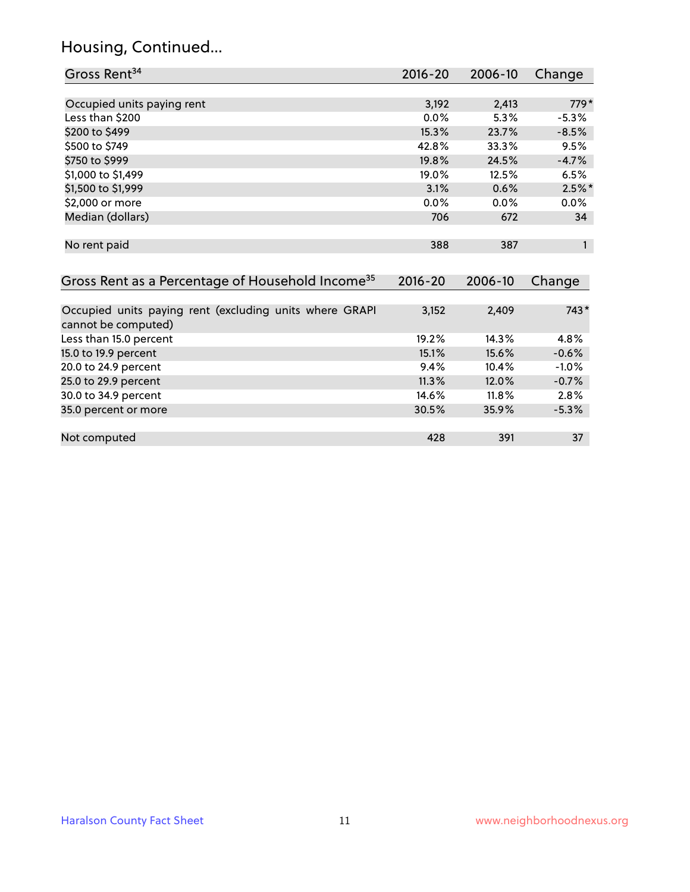### Housing, Continued...

| Gross Rent <sup>34</sup>                                                       | 2016-20     | 2006-10 | Change       |
|--------------------------------------------------------------------------------|-------------|---------|--------------|
|                                                                                |             |         |              |
| Occupied units paying rent                                                     | 3,192       | 2,413   | $779*$       |
| Less than \$200                                                                | $0.0\%$     | 5.3%    | $-5.3\%$     |
| \$200 to \$499                                                                 | 15.3%       | 23.7%   | $-8.5%$      |
| \$500 to \$749                                                                 | 42.8%       | 33.3%   | 9.5%         |
| \$750 to \$999                                                                 | 19.8%       | 24.5%   | $-4.7%$      |
| \$1,000 to \$1,499                                                             | 19.0%       | 12.5%   | 6.5%         |
| \$1,500 to \$1,999                                                             | 3.1%        | 0.6%    | $2.5\%$ *    |
| \$2,000 or more                                                                | $0.0\%$     | $0.0\%$ | $0.0\%$      |
| Median (dollars)                                                               | 706         | 672     | 34           |
| No rent paid                                                                   | 388         | 387     | $\mathbf{1}$ |
| Gross Rent as a Percentage of Household Income <sup>35</sup>                   | $2016 - 20$ | 2006-10 | Change       |
|                                                                                |             |         |              |
| Occupied units paying rent (excluding units where GRAPI<br>cannot be computed) | 3,152       | 2,409   | 743*         |
| Less than 15.0 percent                                                         | 19.2%       | 14.3%   | 4.8%         |
| 15.0 to 19.9 percent                                                           | 15.1%       | 15.6%   | $-0.6%$      |
| 20.0 to 24.9 percent                                                           | 9.4%        | 10.4%   | $-1.0\%$     |

25.0 to 29.9 percent 11.3% 12.0% -0.7% 30.0 to 34.9 percent 14.6% 11.8% 2.8%

Not computed and the set of the set of the set of the set of the set of the set of the set of the set of the set of the set of the set of the set of the set of the set of the set of the set of the set of the set of the set

35.0 percent or more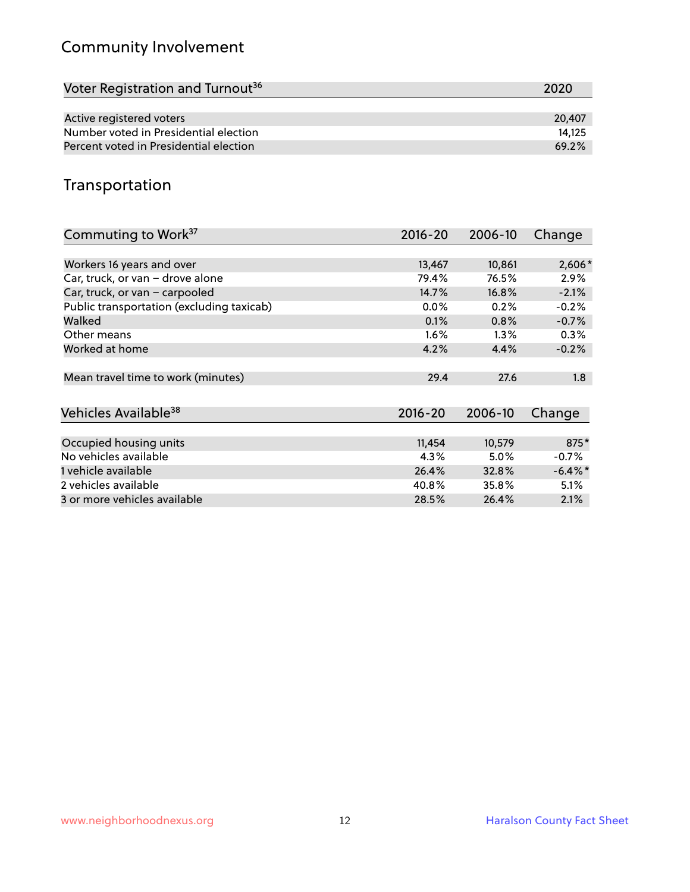## Community Involvement

| Voter Registration and Turnout <sup>36</sup> | 2020   |
|----------------------------------------------|--------|
|                                              |        |
| Active registered voters                     | 20,407 |
| Number voted in Presidential election        | 14.125 |
| Percent voted in Presidential election       | 69.2%  |

## Transportation

| Commuting to Work <sup>37</sup>           | 2016-20     | 2006-10 | Change     |
|-------------------------------------------|-------------|---------|------------|
|                                           |             |         |            |
| Workers 16 years and over                 | 13,467      | 10,861  | $2,606*$   |
| Car, truck, or van - drove alone          | 79.4%       | 76.5%   | 2.9%       |
| Car, truck, or van - carpooled            | 14.7%       | 16.8%   | $-2.1%$    |
| Public transportation (excluding taxicab) | $0.0\%$     | 0.2%    | $-0.2%$    |
| Walked                                    | 0.1%        | 0.8%    | $-0.7%$    |
| Other means                               | $1.6\%$     | $1.3\%$ | 0.3%       |
| Worked at home                            | 4.2%        | 4.4%    | $-0.2%$    |
| Mean travel time to work (minutes)        | 29.4        | 27.6    | 1.8        |
|                                           |             |         |            |
| Vehicles Available <sup>38</sup>          | $2016 - 20$ | 2006-10 | Change     |
|                                           |             |         |            |
| Occupied housing units                    | 11,454      | 10,579  | 875*       |
| No vehicles available                     | 4.3%        | $5.0\%$ | $-0.7%$    |
| 1 vehicle available                       | 26.4%       | 32.8%   | $-6.4\%$ * |
| 2 vehicles available                      | 40.8%       | 35.8%   | 5.1%       |
| 3 or more vehicles available              | 28.5%       | 26.4%   | 2.1%       |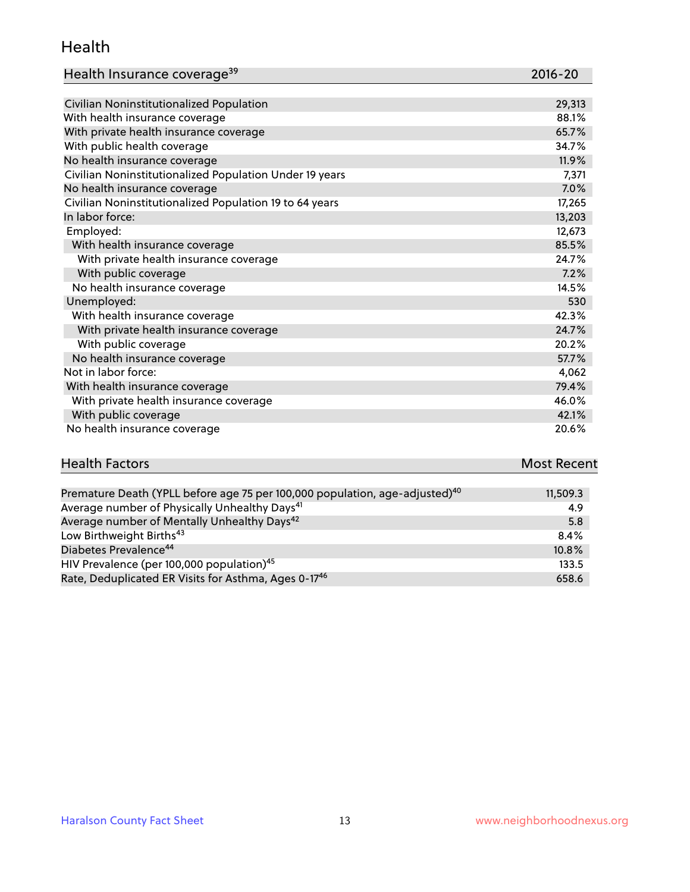#### Health

| Health Insurance coverage <sup>39</sup> | 2016-20 |
|-----------------------------------------|---------|
|-----------------------------------------|---------|

| Civilian Noninstitutionalized Population                | 29,313 |
|---------------------------------------------------------|--------|
| With health insurance coverage                          | 88.1%  |
| With private health insurance coverage                  | 65.7%  |
| With public health coverage                             | 34.7%  |
| No health insurance coverage                            | 11.9%  |
| Civilian Noninstitutionalized Population Under 19 years | 7,371  |
| No health insurance coverage                            | 7.0%   |
| Civilian Noninstitutionalized Population 19 to 64 years | 17,265 |
| In labor force:                                         | 13,203 |
| Employed:                                               | 12,673 |
| With health insurance coverage                          | 85.5%  |
| With private health insurance coverage                  | 24.7%  |
| With public coverage                                    | 7.2%   |
| No health insurance coverage                            | 14.5%  |
| Unemployed:                                             | 530    |
| With health insurance coverage                          | 42.3%  |
| With private health insurance coverage                  | 24.7%  |
| With public coverage                                    | 20.2%  |
| No health insurance coverage                            | 57.7%  |
| Not in labor force:                                     | 4,062  |
| With health insurance coverage                          | 79.4%  |
| With private health insurance coverage                  | 46.0%  |
| With public coverage                                    | 42.1%  |
| No health insurance coverage                            | 20.6%  |

# **Health Factors Most Recent** And The Control of the Control of The Control of The Control of The Control of The Control of The Control of The Control of The Control of The Control of The Control of The Control of The Contr

| Premature Death (YPLL before age 75 per 100,000 population, age-adjusted) <sup>40</sup> | 11,509.3 |
|-----------------------------------------------------------------------------------------|----------|
| Average number of Physically Unhealthy Days <sup>41</sup>                               | 4.9      |
| Average number of Mentally Unhealthy Days <sup>42</sup>                                 | 5.8      |
| Low Birthweight Births <sup>43</sup>                                                    | 8.4%     |
| Diabetes Prevalence <sup>44</sup>                                                       | 10.8%    |
| HIV Prevalence (per 100,000 population) <sup>45</sup>                                   | 133.5    |
| Rate, Deduplicated ER Visits for Asthma, Ages 0-17 <sup>46</sup>                        | 658.6    |